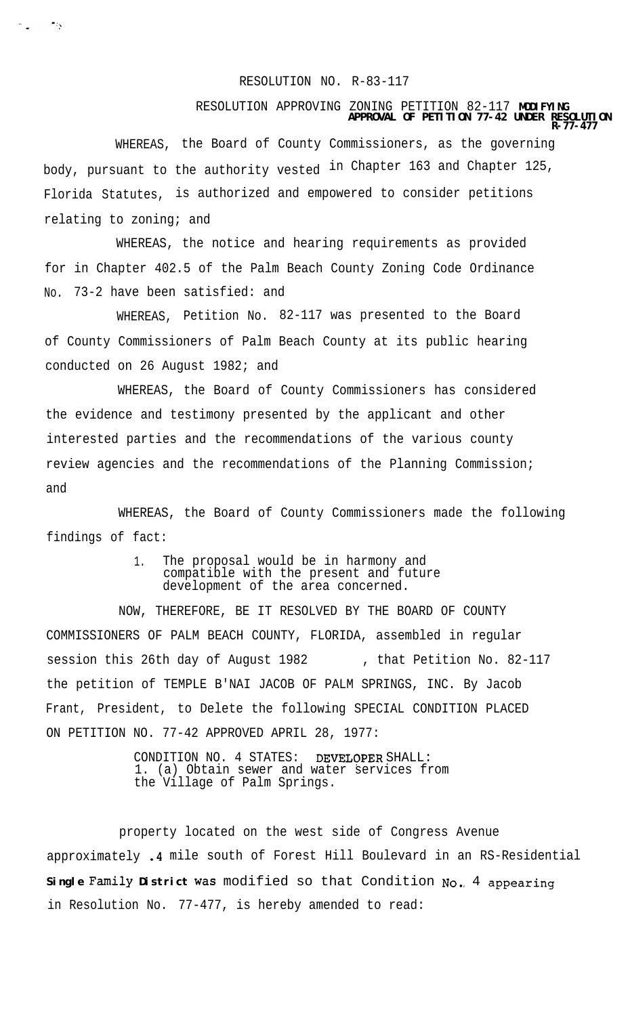## RESOLUTION NO. R-83-117

## RESOLUTION APPROVING ZONING PETITION 82-117 **MODIFYING APPROVAL OF PETITION 77-42 UNDER RESOLUTION**

**R-77-477**

WHEREAS, the Board of County Commissioners, as the governing body, pursuant to the authority vested in Chapter 163 and Chapter 125, Florida Statutes, is authorized and empowered to consider petitions relating to zoning; and

 $\sigma_{\rm m} = 78$ 

WHEREAS, the notice and hearing requirements as provided for in Chapter 402.5 of the Palm Beach County Zoning Code Ordinance No. 73-2 have been satisfied: and

WHEREAS, Petition No. 82-117 was presented to the Board of County Commissioners of Palm Beach County at its public hearing conducted on 26 August 1982; and

WHEREAS, the Board of County Commissioners has considered the evidence and testimony presented by the applicant and other interested parties and the recommendations of the various county review agencies and the recommendations of the Planning Commission; and

WHEREAS, the Board of County Commissioners made the following findings of fact:

> 1. The proposal would be in harmony and compatible with the present and future development of the area concerned.

NOW, THEREFORE, BE IT RESOLVED BY THE BOARD OF COUNTY COMMISSIONERS OF PALM BEACH COUNTY, FLORIDA, assembled in regular session this 26th day of August 1982 , that Petition No. 82-117 the petition of TEMPLE B'NAI JACOB OF PALM SPRINGS, INC. By Jacob Frant, President, to Delete the following SPECIAL CONDITION PLACED ON PETITION NO. 77-42 APPROVED APRIL 28, 1977:

> CONDITION NO. 4 STATES: DEVELOPER SHALL: 1. (a) Obtain sewer and water services from the Village of Palm Springs.

property located on the west side of Congress Avenue approximately .4 mile south of Forest Hill Boulevard in an RS-Residential **Single Family District** was modified so that Condition No.; 4 appearing in Resolution No. 77-477, is hereby amended to read: